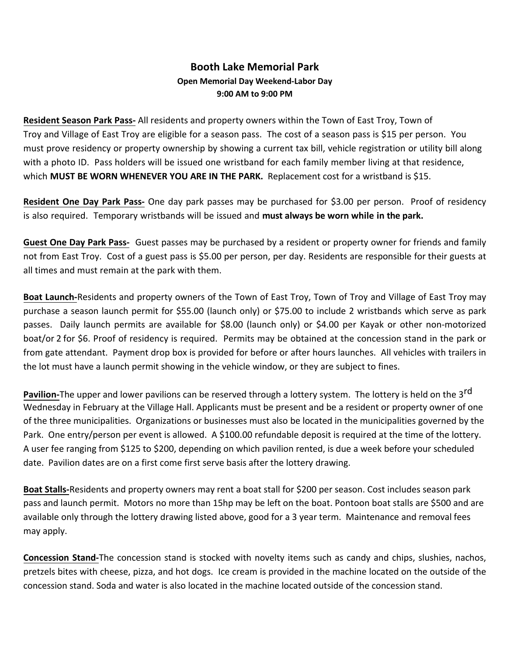## **Booth Lake Memorial Park Open Memorial Day Weekend-Labor Day 9:00 AM to 9:00 PM**

**Resident Season Park Pass-** All residents and property owners within the Town of East Troy, Town of Troy and Village of East Troy are eligible for a season pass. The cost of a season pass is \$15 per person. You must prove residency or property ownership by showing a current tax bill, vehicle registration or utility bill along with a photo ID. Pass holders will be issued one wristband for each family member living at that residence, which **MUST BE WORN WHENEVER YOU ARE IN THE PARK.** Replacement cost for a wristband is \$15.

**Resident One Day Park Pass-** One day park passes may be purchased for \$3.00 per person. Proof of residency is also required. Temporary wristbands will be issued and **must always be worn while in the park.**

**Guest One Day Park Pass-** Guest passes may be purchased by a resident or property owner for friends and family not from East Troy. Cost of a guest pass is \$5.00 per person, per day. Residents are responsible for their guests at all times and must remain at the park with them.

**Boat Launch-**Residents and property owners of the Town of East Troy, Town of Troy and Village of East Troy may purchase a season launch permit for \$55.00 (launch only) or \$75.00 to include 2 wristbands which serve as park passes. Daily launch permits are available for \$8.00 (launch only) or \$4.00 per Kayak or other non-motorized boat/or 2 for \$6. Proof of residency is required. Permits may be obtained at the concession stand in the park or from gate attendant. Payment drop box is provided for before or after hours launches. All vehicles with trailers in the lot must have a launch permit showing in the vehicle window, or they are subject to fines.

**Pavilion-**The upper and lower pavilions can be reserved through a lottery system. The lottery is held on the 3rd Wednesday in February at the Village Hall. Applicants must be present and be a resident or property owner of one of the three municipalities. Organizations or businesses must also be located in the municipalities governed by the Park. One entry/person per event is allowed. A \$100.00 refundable deposit is required at the time of the lottery. A user fee ranging from \$125 to \$200, depending on which pavilion rented, is due a week before your scheduled date. Pavilion dates are on a first come first serve basis after the lottery drawing.

**Boat Stalls-**Residents and property owners may rent a boat stall for \$200 per season. Cost includes season park pass and launch permit. Motors no more than 15hp may be left on the boat. Pontoon boat stalls are \$500 and are available only through the lottery drawing listed above, good for a 3 year term. Maintenance and removal fees may apply.

**Concession Stand-**The concession stand is stocked with novelty items such as candy and chips, slushies, nachos, pretzels bites with cheese, pizza, and hot dogs. Ice cream is provided in the machine located on the outside of the concession stand. Soda and water is also located in the machine located outside of the concession stand.